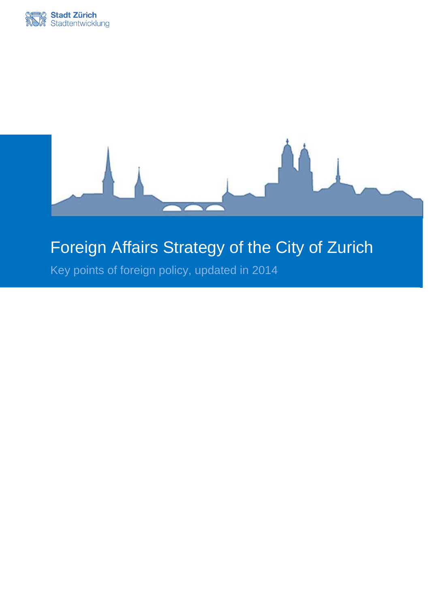



# Foreign Affairs Strategy of the City of Zurich

Key points of foreign policy, updated in 2014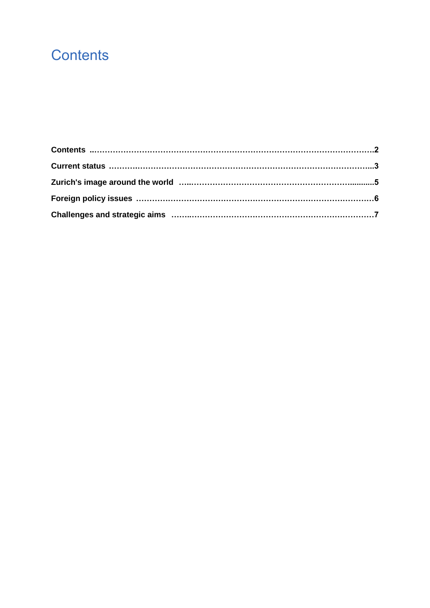# **Contents**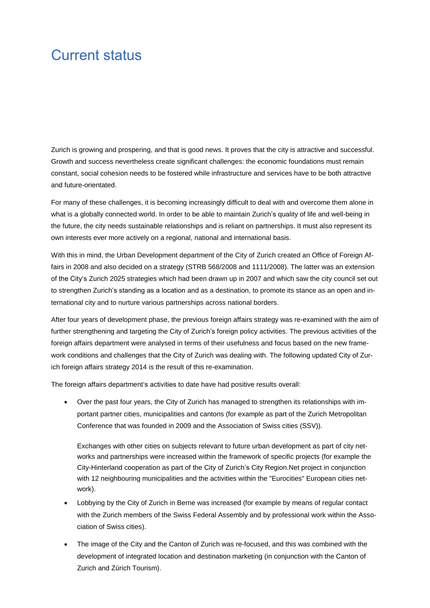## Current status

Zurich is growing and prospering, and that is good news. It proves that the city is attractive and successful. Growth and success nevertheless create significant challenges: the economic foundations must remain constant, social cohesion needs to be fostered while infrastructure and services have to be both attractive and future-orientated.

For many of these challenges, it is becoming increasingly difficult to deal with and overcome them alone in what is a globally connected world. In order to be able to maintain Zurich's quality of life and well-being in the future, the city needs sustainable relationships and is reliant on partnerships. It must also represent its own interests ever more actively on a regional, national and international basis.

With this in mind, the Urban Development department of the City of Zurich created an Office of Foreign Affairs in 2008 and also decided on a strategy (STRB 568/2008 and 1111/2008). The latter was an extension of the City's Zurich 2025 strategies which had been drawn up in 2007 and which saw the city council set out to strengthen Zurich's standing as a location and as a destination, to promote its stance as an open and international city and to nurture various partnerships across national borders.

After four years of development phase, the previous foreign affairs strategy was re-examined with the aim of further strengthening and targeting the City of Zurich's foreign policy activities. The previous activities of the foreign affairs department were analysed in terms of their usefulness and focus based on the new framework conditions and challenges that the City of Zurich was dealing with. The following updated City of Zurich foreign affairs strategy 2014 is the result of this re-examination.

The foreign affairs department's activities to date have had positive results overall:

 Over the past four years, the City of Zurich has managed to strengthen its relationships with important partner cities, municipalities and cantons (for example as part of the Zurich Metropolitan Conference that was founded in 2009 and the Association of Swiss cities (SSV)).

Exchanges with other cities on subjects relevant to future urban development as part of city networks and partnerships were increased within the framework of specific projects (for example the City-Hinterland cooperation as part of the City of Zurich's City Region.Net project in conjunction with 12 neighbouring municipalities and the activities within the "Eurocities" European cities network).

- Lobbying by the City of Zurich in Berne was increased (for example by means of regular contact with the Zurich members of the Swiss Federal Assembly and by professional work within the Association of Swiss cities).
- The image of the City and the Canton of Zurich was re-focused, and this was combined with the development of integrated location and destination marketing (in conjunction with the Canton of Zurich and Zürich Tourism).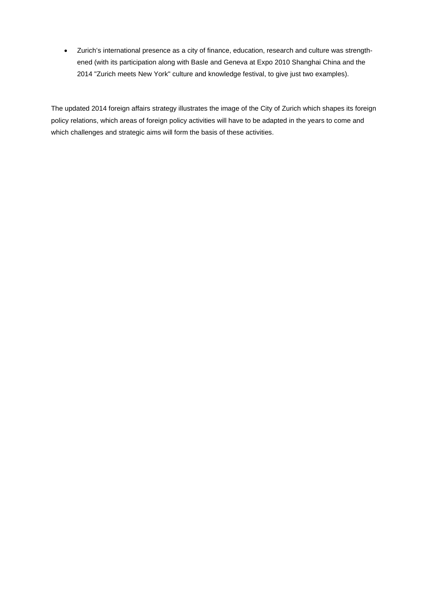Zurich's international presence as a city of finance, education, research and culture was strengthened (with its participation along with Basle and Geneva at Expo 2010 Shanghai China and the 2014 "Zurich meets New York" culture and knowledge festival, to give just two examples).

The updated 2014 foreign affairs strategy illustrates the image of the City of Zurich which shapes its foreign policy relations, which areas of foreign policy activities will have to be adapted in the years to come and which challenges and strategic aims will form the basis of these activities.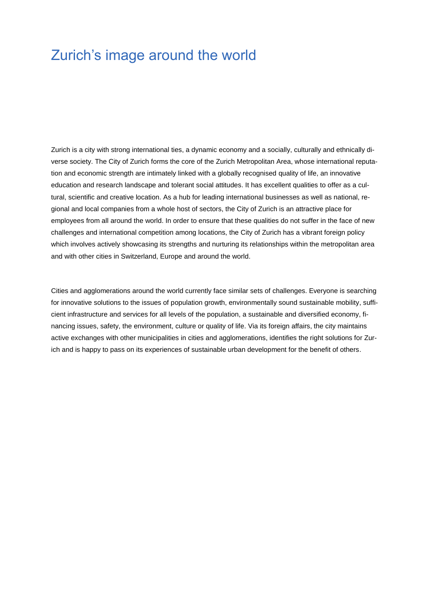## Zurich's image around the world

Zurich is a city with strong international ties, a dynamic economy and a socially, culturally and ethnically diverse society. The City of Zurich forms the core of the Zurich Metropolitan Area, whose international reputation and economic strength are intimately linked with a globally recognised quality of life, an innovative education and research landscape and tolerant social attitudes. It has excellent qualities to offer as a cultural, scientific and creative location. As a hub for leading international businesses as well as national, regional and local companies from a whole host of sectors, the City of Zurich is an attractive place for employees from all around the world. In order to ensure that these qualities do not suffer in the face of new challenges and international competition among locations, the City of Zurich has a vibrant foreign policy which involves actively showcasing its strengths and nurturing its relationships within the metropolitan area and with other cities in Switzerland, Europe and around the world.

Cities and agglomerations around the world currently face similar sets of challenges. Everyone is searching for innovative solutions to the issues of population growth, environmentally sound sustainable mobility, sufficient infrastructure and services for all levels of the population, a sustainable and diversified economy, financing issues, safety, the environment, culture or quality of life. Via its foreign affairs, the city maintains active exchanges with other municipalities in cities and agglomerations, identifies the right solutions for Zurich and is happy to pass on its experiences of sustainable urban development for the benefit of others.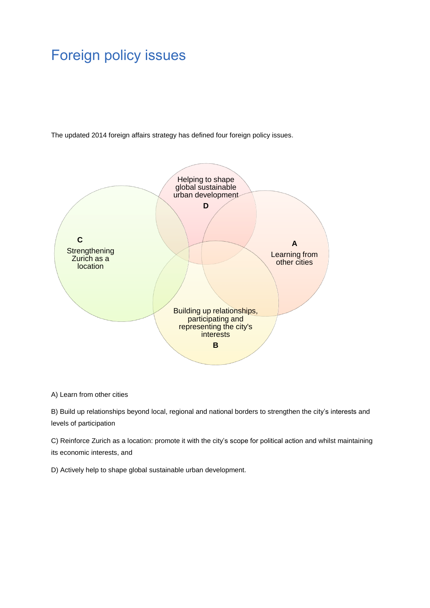# Foreign policy issues

The updated 2014 foreign affairs strategy has defined four foreign policy issues.



A) Learn from other cities

B) Build up relationships beyond local, regional and national borders to strengthen the city's interests and levels of participation

C) Reinforce Zurich as a location: promote it with the city's scope for political action and whilst maintaining its economic interests, and

D) Actively help to shape global sustainable urban development.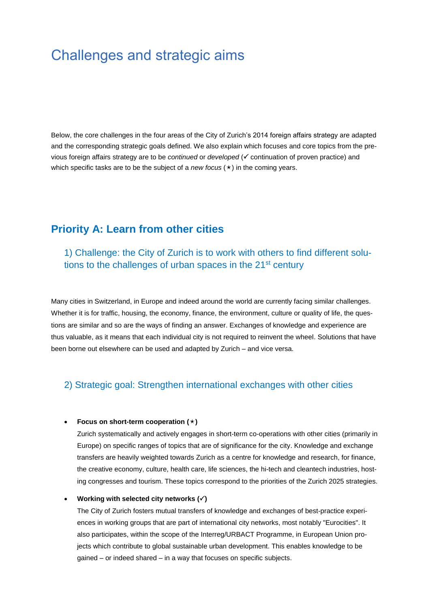## Challenges and strategic aims

Below, the core challenges in the four areas of the City of Zurich's 2014 foreign affairs strategy are adapted and the corresponding strategic goals defined. We also explain which focuses and core topics from the previous foreign affairs strategy are to be *continued* or *developed* ( continuation of proven practice) and which specific tasks are to be the subject of a *new focus*  $(\star)$  in the coming years.

## **Priority A: Learn from other cities**

1) Challenge: the City of Zurich is to work with others to find different solutions to the challenges of urban spaces in the 21<sup>st</sup> century

Many cities in Switzerland, in Europe and indeed around the world are currently facing similar challenges. Whether it is for traffic, housing, the economy, finance, the environment, culture or quality of life, the questions are similar and so are the ways of finding an answer. Exchanges of knowledge and experience are thus valuable, as it means that each individual city is not required to reinvent the wheel. Solutions that have been borne out elsewhere can be used and adapted by Zurich – and vice versa.

### 2) Strategic goal: Strengthen international exchanges with other cities

#### **Focus on short-term cooperation ()**

Zurich systematically and actively engages in short-term co-operations with other cities (primarily in Europe) on specific ranges of topics that are of significance for the city. Knowledge and exchange transfers are heavily weighted towards Zurich as a centre for knowledge and research, for finance, the creative economy, culture, health care, life sciences, the hi-tech and cleantech industries, hosting congresses and tourism. These topics correspond to the priorities of the Zurich 2025 strategies.

#### **•** Working with selected city networks  $(\checkmark)$

The City of Zurich fosters mutual transfers of knowledge and exchanges of best-practice experiences in working groups that are part of international city networks, most notably "Eurocities". It also participates, within the scope of the Interreg/URBACT Programme, in European Union projects which contribute to global sustainable urban development. This enables knowledge to be gained – or indeed shared – in a way that focuses on specific subjects.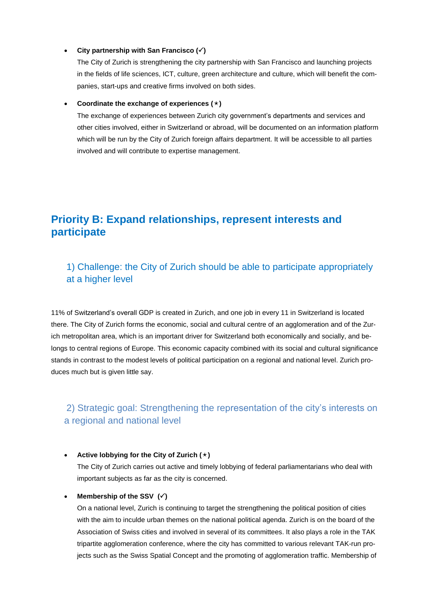#### **City partnership with San Francisco ()**

The City of Zurich is strengthening the city partnership with San Francisco and launching projects in the fields of life sciences, ICT, culture, green architecture and culture, which will benefit the companies, start-ups and creative firms involved on both sides.

#### **Coordinate the exchange of experiences ()**

The exchange of experiences between Zurich city government's departments and services and other cities involved, either in Switzerland or abroad, will be documented on an information platform which will be run by the City of Zurich foreign affairs department. It will be accessible to all parties involved and will contribute to expertise management.

## **Priority B: Expand relationships, represent interests and participate**

## 1) Challenge: the City of Zurich should be able to participate appropriately at a higher level

11% of Switzerland's overall GDP is created in Zurich, and one job in every 11 in Switzerland is located there. The City of Zurich forms the economic, social and cultural centre of an agglomeration and of the Zurich metropolitan area, which is an important driver for Switzerland both economically and socially, and belongs to central regions of Europe. This economic capacity combined with its social and cultural significance stands in contrast to the modest levels of political participation on a regional and national level. Zurich produces much but is given little say.

## 2) Strategic goal: Strengthening the representation of the city's interests on a regional and national level

#### **•** Active lobbying for the City of Zurich  $(\star)$

The City of Zurich carries out active and timely lobbying of federal parliamentarians who deal with important subjects as far as the city is concerned.

#### • Membership of the SSV  $(\checkmark)$

On a national level, Zurich is continuing to target the strengthening the political position of cities with the aim to inculde urban themes on the national political agenda. Zurich is on the board of the Association of Swiss cities and involved in several of its committees. It also plays a role in the TAK tripartite agglomeration conference, where the city has committed to various relevant TAK-run projects such as the Swiss Spatial Concept and the promoting of agglomeration traffic. Membership of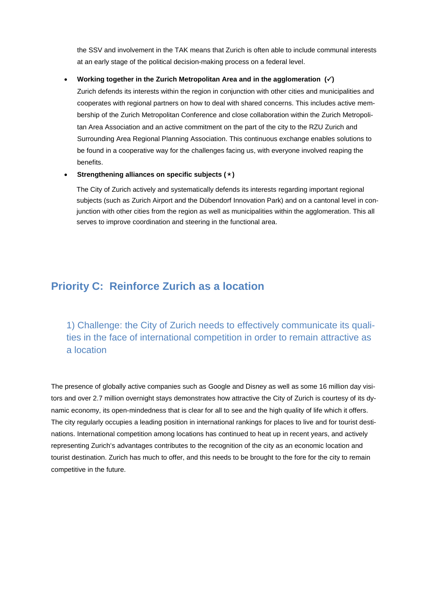the SSV and involvement in the TAK means that Zurich is often able to include communal interests at an early stage of the political decision-making process on a federal level.

#### **Working together in the Zurich Metropolitan Area and in the agglomeration ()**

Zurich defends its interests within the region in conjunction with other cities and municipalities and cooperates with regional partners on how to deal with shared concerns. This includes active membership of the Zurich Metropolitan Conference and close collaboration within the Zurich Metropolitan Area Association and an active commitment on the part of the city to the RZU Zurich and Surrounding Area Regional Planning Association. This continuous exchange enables solutions to be found in a cooperative way for the challenges facing us, with everyone involved reaping the benefits.

#### **Strengthening alliances on specific subjects ()**

The City of Zurich actively and systematically defends its interests regarding important regional subjects (such as Zurich Airport and the Dübendorf Innovation Park) and on a cantonal level in conjunction with other cities from the region as well as municipalities within the agglomeration. This all serves to improve coordination and steering in the functional area.

## **Priority C: Reinforce Zurich as a location**

1) Challenge: the City of Zurich needs to effectively communicate its qualities in the face of international competition in order to remain attractive as a location

The presence of globally active companies such as Google and Disney as well as some 16 million day visitors and over 2.7 million overnight stays demonstrates how attractive the City of Zurich is courtesy of its dynamic economy, its open-mindedness that is clear for all to see and the high quality of life which it offers. The city regularly occupies a leading position in international rankings for places to live and for tourist destinations. International competition among locations has continued to heat up in recent years, and actively representing Zurich's advantages contributes to the recognition of the city as an economic location and tourist destination. Zurich has much to offer, and this needs to be brought to the fore for the city to remain competitive in the future.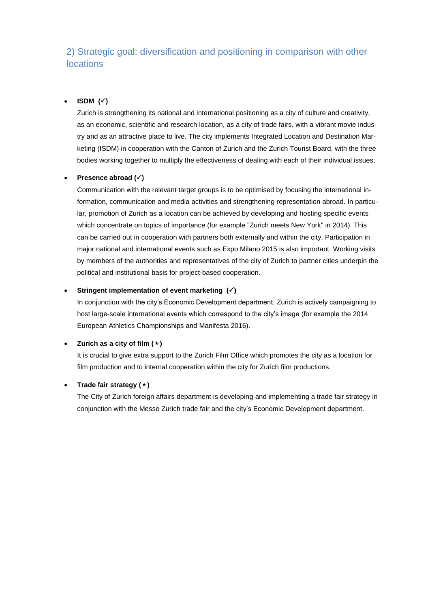## 2) Strategic goal: diversification and positioning in comparison with other locations

#### $\cdot$  ISDM  $(\check{\cdot})$

Zurich is strengthening its national and international positioning as a city of culture and creativity, as an economic, scientific and research location, as a city of trade fairs, with a vibrant movie industry and as an attractive place to live. The city implements Integrated Location and Destination Marketing (ISDM) in cooperation with the Canton of Zurich and the Zurich Tourist Board, with the three bodies working together to multiply the effectiveness of dealing with each of their individual issues.

#### **Presence abroad ()**

Communication with the relevant target groups is to be optimised by focusing the international information, communication and media activities and strengthening representation abroad. In particular, promotion of Zurich as a location can be achieved by developing and hosting specific events which concentrate on topics of importance (for example "Zurich meets New York" in 2014). This can be carried out in cooperation with partners both externally and within the city. Participation in major national and international events such as Expo Milano 2015 is also important. Working visits by members of the authorities and representatives of the city of Zurich to partner cities underpin the political and institutional basis for project-based cooperation.

#### **Stringent implementation of event marketing ()**

In conjunction with the city's Economic Development department, Zurich is actively campaigning to host large-scale international events which correspond to the city's image (for example the 2014 European Athletics Championships and Manifesta 2016).

#### **•** Zurich as a city of film  $(\star)$

It is crucial to give extra support to the Zurich Film Office which promotes the city as a location for film production and to internal cooperation within the city for Zurich film productions.

#### **•** Trade fair strategy  $(\star)$

The City of Zurich foreign affairs department is developing and implementing a trade fair strategy in conjunction with the Messe Zurich trade fair and the city's Economic Development department.